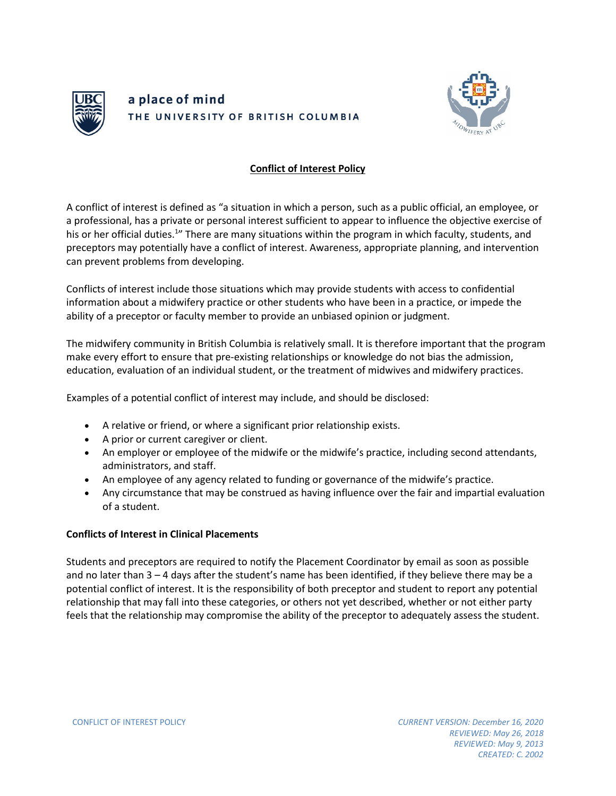

## a place of mind THE UNIVERSITY OF BRITISH COLUMBIA



## **Conflict of Interest Policy**

A conflict of interest is defined as "a situation in which a person, such as a public official, an employee, or a professional, has a private or personal interest sufficient to appear to influence the objective exercise of his or her official duties.<sup>1</sup>" There are many situations within the program in which faculty, students, and preceptors may potentially have a conflict of interest. Awareness, appropriate planning, and intervention can prevent problems from developing.

Conflicts of interest include those situations which may provide students with access to confidential information about a midwifery practice or other students who have been in a practice, or impede the ability of a preceptor or faculty member to provide an unbiased opinion or judgment.

The midwifery community in British Columbia is relatively small. It is therefore important that the program make every effort to ensure that pre-existing relationships or knowledge do not bias the admission, education, evaluation of an individual student, or the treatment of midwives and midwifery practices.

Examples of a potential conflict of interest may include, and should be disclosed:

- A relative or friend, or where a significant prior relationship exists.
- A prior or current caregiver or client.
- An employer or employee of the midwife or the midwife's practice, including second attendants, administrators, and staff.
- An employee of any agency related to funding or governance of the midwife's practice.
- Any circumstance that may be construed as having influence over the fair and impartial evaluation of a student.

## **Conflicts of Interest in Clinical Placements**

Students and preceptors are required to notify the Placement Coordinator by email as soon as possible and no later than 3 – 4 days after the student's name has been identified, if they believe there may be a potential conflict of interest. It is the responsibility of both preceptor and student to report any potential relationship that may fall into these categories, or others not yet described, whether or not either party feels that the relationship may compromise the ability of the preceptor to adequately assess the student.